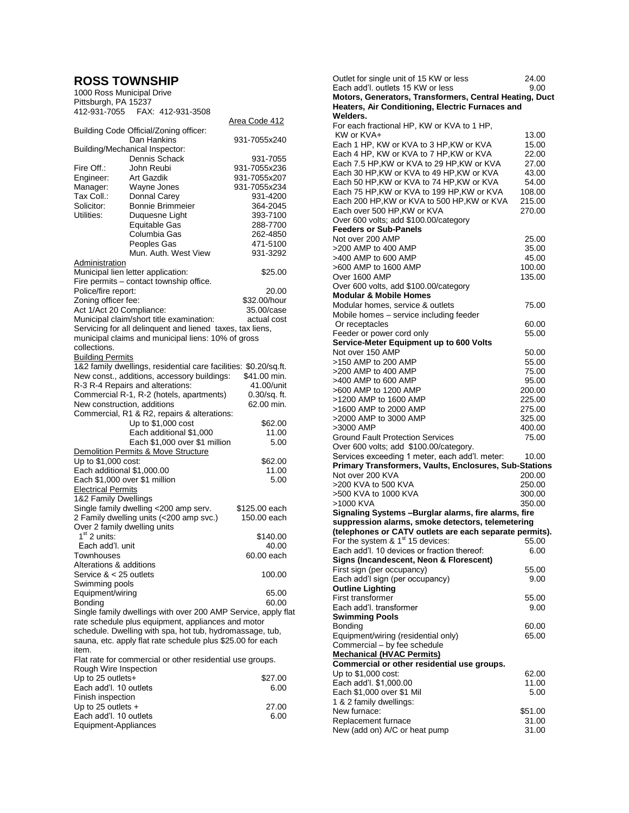## **ROSS TOWNSHIP**

| 1000 Ross Municipal Drive                                  |                                                                  |                |
|------------------------------------------------------------|------------------------------------------------------------------|----------------|
| Pittsburgh, PA 15237                                       |                                                                  |                |
|                                                            | 412-931-7055    FAX: 412-931-3508                                |                |
|                                                            |                                                                  | Area Code 412  |
|                                                            | Building Code Official/Zoning officer:                           |                |
|                                                            | Dan Hankins                                                      | 931-7055x240   |
|                                                            | Building/Mechanical Inspector:                                   |                |
|                                                            | Dennis Schack                                                    | 931-7055       |
| Fire Off.:                                                 | John Reubi                                                       | 931-7055x236   |
| Engineer:                                                  | <b>Art Gazdik</b>                                                | 931-7055x207   |
| Manager:                                                   | Wayne Jones                                                      | 931-7055x234   |
| Tax Coll.:                                                 | Donnal Carey                                                     | 931-4200       |
| Solicitor:                                                 | <b>Bonnie Brimmeier</b>                                          | 364-2045       |
| Utilities:                                                 | Duquesne Light                                                   | 393-7100       |
|                                                            | <b>Equitable Gas</b>                                             | 288-7700       |
|                                                            | Columbia Gas                                                     | 262-4850       |
|                                                            | Peoples Gas                                                      | 471-5100       |
|                                                            | Mun. Auth. West View                                             | 931-3292       |
| Administration                                             |                                                                  |                |
|                                                            | Municipal lien letter application:                               | \$25.00        |
|                                                            | Fire permits - contact township office.                          |                |
| Police/fire report:                                        |                                                                  | 20.00          |
| Zoning officer fee:                                        |                                                                  | \$32.00/hour   |
| Act 1/Act 20 Compliance:                                   |                                                                  | 35.00/case     |
|                                                            | Municipal claim/short title examination:                         | actual cost    |
|                                                            | Servicing for all delinquent and liened taxes, tax liens,        |                |
|                                                            | municipal claims and municipal liens: 10% of gross               |                |
| collections.                                               |                                                                  |                |
| <b>Building Permits</b>                                    |                                                                  |                |
|                                                            | 1&2 family dwellings, residential care facilities: \$0.20/sq.ft. |                |
|                                                            | New const., additions, accessory buildings:                      | \$41.00 min.   |
|                                                            | R-3 R-4 Repairs and alterations:                                 | 41.00/unit     |
|                                                            | Commercial R-1, R-2 (hotels, apartments)                         | 0.30/sq. ft.   |
| New construction, additions                                |                                                                  | 62.00 min.     |
|                                                            | Commercial, R1 & R2, repairs & alterations:                      |                |
|                                                            | Up to \$1,000 cost                                               | \$62.00        |
|                                                            | Each additional \$1,000                                          | 11.00          |
|                                                            | Each \$1,000 over \$1 million                                    | 5.00           |
|                                                            | Demolition Permits & Move Structure                              |                |
| Up to \$1,000 cost:                                        |                                                                  | \$62.00        |
| Each additional \$1,000.00                                 |                                                                  | 11.00          |
| Each \$1,000 over \$1 million                              |                                                                  | 5.00           |
| <b>Electrical Permits</b>                                  |                                                                  |                |
| 1&2 Family Dwellings                                       |                                                                  |                |
|                                                            | Single family dwelling <200 amp serv.                            | \$125.00 each  |
|                                                            | 2 Family dwelling units (<200 amp svc.)                          | 150.00 each    |
| Over 2 family dwelling units                               |                                                                  |                |
| $1st$ 2 units:                                             |                                                                  | \$140.00       |
| Each add'l. unit                                           |                                                                  | 40.00          |
| Townhouses                                                 |                                                                  | 60.00 each     |
| Alterations & additions                                    |                                                                  |                |
| Service $< 25$ outlets                                     |                                                                  | 100.00         |
| Swimming pools                                             |                                                                  |                |
| Equipment/wiring                                           |                                                                  |                |
| Bonding                                                    |                                                                  | 65.00<br>60.00 |
|                                                            | Single family dwellings with over 200 AMP Service, apply flat    |                |
|                                                            | rate schedule plus equipment, appliances and motor               |                |
|                                                            |                                                                  |                |
|                                                            | schedule. Dwelling with spa, hot tub, hydromassage, tub,         |                |
| sauna, etc. apply flat rate schedule plus \$25.00 for each |                                                                  |                |
| item.                                                      |                                                                  |                |
|                                                            | Flat rate for commercial or other residential use groups.        |                |
| Rough Wire Inspection                                      |                                                                  |                |
| Up to 25 outlets+                                          |                                                                  | \$27.00        |
| Each add'l. 10 outlets                                     |                                                                  | 6.00           |
| Finish inspection                                          |                                                                  |                |
| Up to 25 outlets $+$                                       |                                                                  | 27.00          |
| Each add'l. 10 outlets                                     |                                                                  | 6.00           |
| Equipment-Appliances                                       |                                                                  |                |

| Outlet for single unit of 15 KW or less<br>Each add'l. outlets 15 KW or less | 24.00<br>9.00 |
|------------------------------------------------------------------------------|---------------|
| Motors, Generators, Transformers, Central Heating, Duct                      |               |
| Heaters, Air Conditioning, Electric Furnaces and                             |               |
| Welders.                                                                     |               |
| For each fractional HP, KW or KVA to 1 HP,                                   |               |
| KW or KVA+                                                                   | 13.00         |
| Each 1 HP, KW or KVA to 3 HP, KW or KVA                                      | 15.00         |
| Each 4 HP, KW or KVA to 7 HP, KW or KVA                                      | 22.00         |
| Each 7.5 HP, KW or KVA to 29 HP, KW or KVA                                   | 27.00         |
| Each 30 HP, KW or KVA to 49 HP, KW or KVA                                    | 43.00         |
| Each 50 HP, KW or KVA to 74 HP, KW or KVA                                    | 54.00         |
| Each 75 HP, KW or KVA to 199 HP, KW or KVA                                   | 108.00        |
| Each 200 HP, KW or KVA to 500 HP, KW or KVA                                  | 215.00        |
| Each over 500 HP.KW or KVA                                                   | 270.00        |
| Over 600 volts; add \$100.00/category                                        |               |
| <b>Feeders or Sub-Panels</b>                                                 |               |
| Not over 200 AMP                                                             | 25.00         |
| >200 AMP to 400 AMP                                                          | 35.00         |
| >400 AMP to 600 AMP                                                          | 45.00         |
| >600 AMP to 1600 AMP                                                         | 100.00        |
| Over 1600 AMP                                                                | 135.00        |
| Over 600 volts, add \$100.00/category                                        |               |
| <b>Modular &amp; Mobile Homes</b>                                            |               |
| Modular homes, service & outlets                                             | 75.00         |
| Mobile homes - service including feeder                                      |               |
| Or receptacles                                                               | 60.00         |
| Feeder or power cord only                                                    | 55.00         |
| Service-Meter Equipment up to 600 Volts                                      |               |
| Not over 150 AMP                                                             | 50.00         |
| >150 AMP to 200 AMP                                                          | 55.00         |
| >200 AMP to 400 AMP                                                          | 75.00         |
| >400 AMP to 600 AMP                                                          | 95.00         |
| >600 AMP to 1200 AMP                                                         | 200.00        |
| >1200 AMP to 1600 AMP                                                        | 225.00        |
| >1600 AMP to 2000 AMP                                                        | 275.00        |
| >2000 AMP to 3000 AMP                                                        | 325.00        |
| >3000 AMP                                                                    | 400.00        |
| <b>Ground Fault Protection Services</b>                                      | 75.00         |
| Over 600 volts; add \$100.00/category.                                       |               |
| Services exceeding 1 meter, each add'l. meter:                               | 10.00         |
| <b>Primary Transformers, Vaults, Enclosures, Sub-Stations</b>                |               |
| Not over 200 KVA                                                             | 200.00        |
| >200 KVA to 500 KVA                                                          | 250.00        |
| >500 KVA to 1000 KVA                                                         | 300.00        |
| >1000 KVA                                                                    | 350.00        |
| Signaling Systems - Burglar alarms, fire alarms, fire                        |               |
| suppression alarms, smoke detectors, telemetering                            |               |
| (telephones or CATV outlets are each separate permits)                       |               |
| For the system $8.1st 15$ devices:                                           | 55.00         |
| Each add'l. 10 devices or fraction thereof:                                  | 6.00          |
| Signs (Incandescent, Neon & Florescent)                                      |               |
| First sign (per occupancy)                                                   | 55.00         |
| Each add'l sign (per occupancy)                                              | 9.00          |
| <b>Outline Lighting</b>                                                      |               |
| First transformer                                                            | 55.00         |
| Each add'l. transformer                                                      | 9.00          |
| <b>Swimming Pools</b>                                                        |               |
| <b>Bonding</b>                                                               | 60.00         |
| Equipment/wiring (residential only)                                          | 65.00         |
| Commercial - by fee schedule                                                 |               |
| <b>Mechanical (HVAC Permits)</b>                                             |               |
| Commercial or other residential use groups.                                  |               |
| Up to \$1,000 cost:                                                          | 62.00         |
| Each add'l. \$1,000.00                                                       | 11.00         |
| Each \$1,000 over \$1 Mil                                                    | 5.00          |
| 1 & 2 family dwellings:                                                      |               |
| New furnace:                                                                 | \$51.00       |
| Replacement furnace                                                          | 31.00         |
| New (add on) A/C or heat pump                                                | 31.00         |